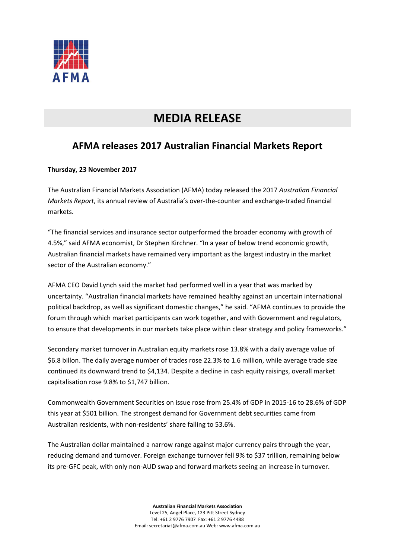

## **MEDIA RELEASE**

## **AFMA releases 2017 Australian Financial Markets Report**

## **Thursday, 23 November 2017**

The Australian Financial Markets Association (AFMA) today released the 2017 *Australian Financial Markets Report*, its annual review of Australia's over-the-counter and exchange-traded financial markets.

"The financial services and insurance sector outperformed the broader economy with growth of 4.5%," said AFMA economist, Dr Stephen Kirchner. "In a year of below trend economic growth, Australian financial markets have remained very important as the largest industry in the market sector of the Australian economy."

AFMA CEO David Lynch said the market had performed well in a year that was marked by uncertainty. "Australian financial markets have remained healthy against an uncertain international political backdrop, as well as significant domestic changes," he said. "AFMA continues to provide the forum through which market participants can work together, and with Government and regulators, to ensure that developments in our markets take place within clear strategy and policy frameworks."

Secondary market turnover in Australian equity markets rose 13.8% with a daily average value of \$6.8 billon. The daily average number of trades rose 22.3% to 1.6 million, while average trade size continued its downward trend to \$4,134. Despite a decline in cash equity raisings, overall market capitalisation rose 9.8% to \$1,747 billion.

Commonwealth Government Securities on issue rose from 25.4% of GDP in 2015-16 to 28.6% of GDP this year at \$501 billion. The strongest demand for Government debt securities came from Australian residents, with non-residents' share falling to 53.6%.

The Australian dollar maintained a narrow range against major currency pairs through the year, reducing demand and turnover. Foreign exchange turnover fell 9% to \$37 trillion, remaining below its pre-GFC peak, with only non-AUD swap and forward markets seeing an increase in turnover.

> **Australian Financial Markets Association** Level 25, Angel Place, 123 Pitt Street Sydney Tel: +61 2 9776 7907 Fax: +61 2 9776 4488 Email: secretariat@afma.com.au Web: www.afma.com.au